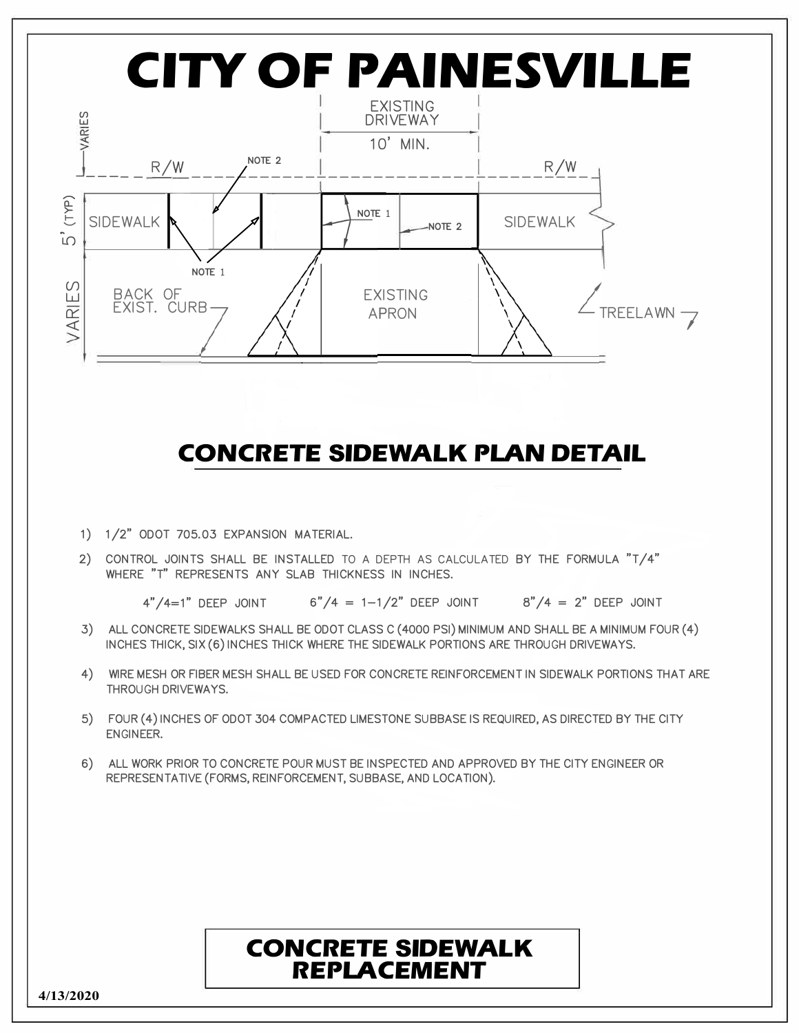

**4/13/2020**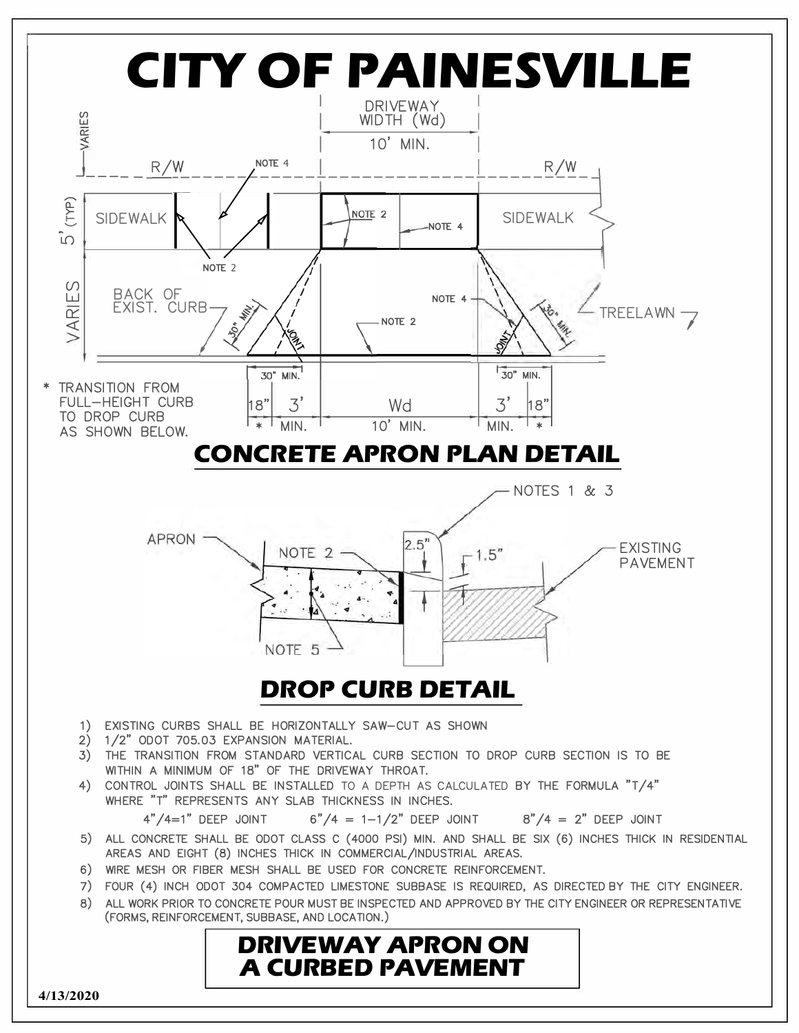